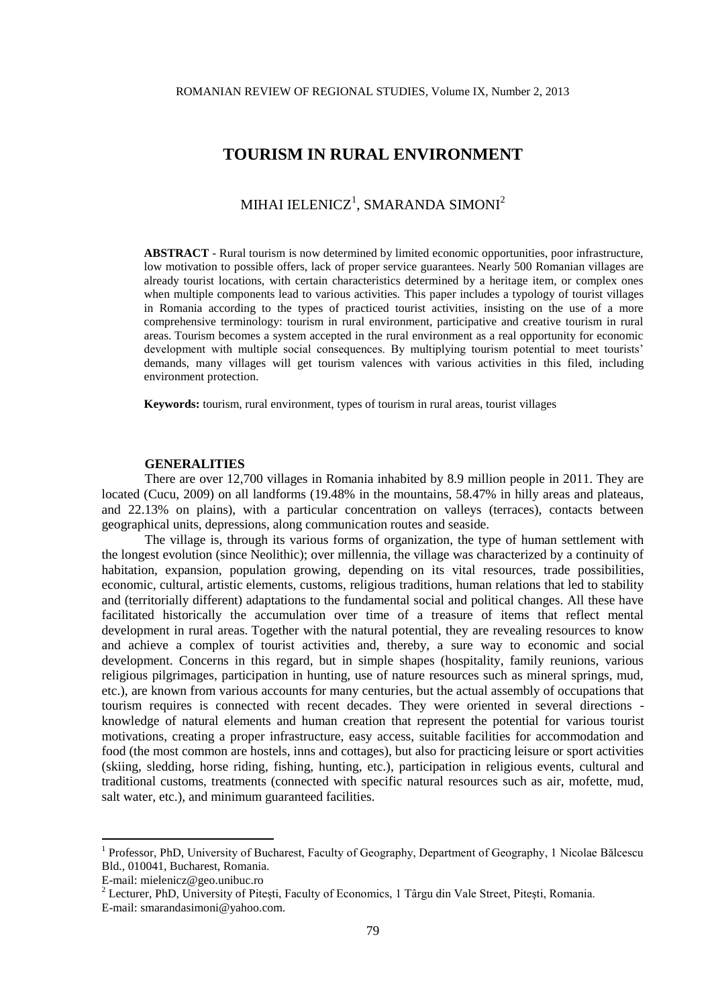# **TOURISM IN RURAL ENVIRONMENT**

# MIHAI IELENICZ $^{\rm l}$ , SMARANDA SIMONI $^{\rm 2}$

**ABSTRACT** - Rural tourism is now determined by limited economic opportunities, poor infrastructure, low motivation to possible offers, lack of proper service guarantees. Nearly 500 Romanian villages are already tourist locations, with certain characteristics determined by a heritage item, or complex ones when multiple components lead to various activities. This paper includes a typology of tourist villages in Romania according to the types of practiced tourist activities, insisting on the use of a more comprehensive terminology: tourism in rural environment, participative and creative tourism in rural areas. Tourism becomes a system accepted in the rural environment as a real opportunity for economic development with multiple social consequences. By multiplying tourism potential to meet tourists' demands, many villages will get tourism valences with various activities in this filed, including environment protection.

**Keywords:** tourism, rural environment, types of tourism in rural areas, tourist villages

## **GENERALITIES**

There are over 12,700 villages in Romania inhabited by 8.9 million people in 2011. They are located (Cucu, 2009) on all landforms (19.48% in the mountains, 58.47% in hilly areas and plateaus, and 22.13% on plains), with a particular concentration on valleys (terraces), contacts between geographical units, depressions, along communication routes and seaside.

The village is, through its various forms of organization, the type of human settlement with the longest evolution (since Neolithic); over millennia, the village was characterized by a continuity of habitation, expansion, population growing, depending on its vital resources, trade possibilities, economic, cultural, artistic elements, customs, religious traditions, human relations that led to stability and (territorially different) adaptations to the fundamental social and political changes. All these have facilitated historically the accumulation over time of a treasure of items that reflect mental development in rural areas. Together with the natural potential, they are revealing resources to know and achieve a complex of tourist activities and, thereby, a sure way to economic and social development. Concerns in this regard, but in simple shapes (hospitality, family reunions, various religious pilgrimages, participation in hunting, use of nature resources such as mineral springs, mud, etc.), are known from various accounts for many centuries, but the actual assembly of occupations that tourism requires is connected with recent decades. They were oriented in several directions knowledge of natural elements and human creation that represent the potential for various tourist motivations, creating a proper infrastructure, easy access, suitable facilities for accommodation and food (the most common are hostels, inns and cottages), but also for practicing leisure or sport activities (skiing, sledding, horse riding, fishing, hunting, etc.), participation in religious events, cultural and traditional customs, treatments (connected with specific natural resources such as air, mofette, mud, salt water, etc.), and minimum guaranteed facilities.

<u>.</u>

<sup>&</sup>lt;sup>1</sup> Professor, PhD, University of Bucharest, Faculty of Geography, Department of Geography, 1 Nicolae Bălcescu Bld., 010041, Bucharest, Romania.

E-mail: mielenicz@geo.unibuc.ro

<sup>2</sup> Lecturer, PhD, University of Piteşti, Faculty of Economics, 1 Târgu din Vale Street, Piteşti, Romania. E-mail: smarandasimoni@yahoo.com.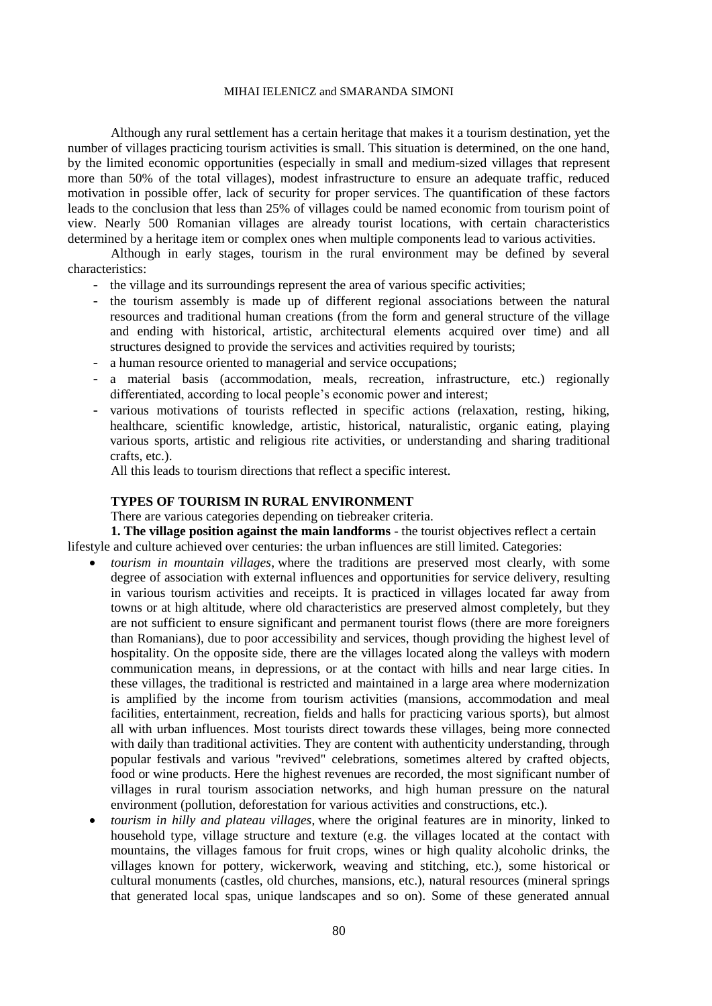#### MIHAI IELENICZ and SMARANDA SIMONI

Although any rural settlement has a certain heritage that makes it a tourism destination, yet the number of villages practicing tourism activities is small. This situation is determined, on the one hand, by the limited economic opportunities (especially in small and medium-sized villages that represent more than 50% of the total villages), modest infrastructure to ensure an adequate traffic, reduced motivation in possible offer, lack of security for proper services. The quantification of these factors leads to the conclusion that less than 25% of villages could be named economic from tourism point of view. Nearly 500 Romanian villages are already tourist locations, with certain characteristics determined by a heritage item or complex ones when multiple components lead to various activities.

Although in early stages, tourism in the rural environment may be defined by several characteristics:

- the village and its surroundings represent the area of various specific activities;
- the tourism assembly is made up of different regional associations between the natural resources and traditional human creations (from the form and general structure of the village and ending with historical, artistic, architectural elements acquired over time) and all structures designed to provide the services and activities required by tourists;
- a human resource oriented to managerial and service occupations;
- a material basis (accommodation, meals, recreation, infrastructure, etc.) regionally differentiated, according to local people's economic power and interest;
- various motivations of tourists reflected in specific actions (relaxation, resting, hiking, healthcare, scientific knowledge, artistic, historical, naturalistic, organic eating, playing various sports, artistic and religious rite activities, or understanding and sharing traditional crafts, etc.).

All this leads to tourism directions that reflect a specific interest.

## **TYPES OF TOURISM IN RURAL ENVIRONMENT**

There are various categories depending on tiebreaker criteria.

**1. The village position against the main landforms** - the tourist objectives reflect a certain lifestyle and culture achieved over centuries: the urban influences are still limited. Categories:

- *tourism in mountain villages*, where the traditions are preserved most clearly, with some degree of association with external influences and opportunities for service delivery, resulting in various tourism activities and receipts. It is practiced in villages located far away from towns or at high altitude, where old characteristics are preserved almost completely, but they are not sufficient to ensure significant and permanent tourist flows (there are more foreigners than Romanians), due to poor accessibility and services, though providing the highest level of hospitality. On the opposite side, there are the villages located along the valleys with modern communication means, in depressions, or at the contact with hills and near large cities. In these villages, the traditional is restricted and maintained in a large area where modernization is amplified by the income from tourism activities (mansions, accommodation and meal facilities, entertainment, recreation, fields and halls for practicing various sports), but almost all with urban influences. Most tourists direct towards these villages, being more connected with daily than traditional activities. They are content with authenticity understanding, through popular festivals and various "revived" celebrations, sometimes altered by crafted objects, food or wine products. Here the highest revenues are recorded, the most significant number of villages in rural tourism association networks, and high human pressure on the natural environment (pollution, deforestation for various activities and constructions, etc.).
- *tourism in hilly and plateau villages*, where the original features are in minority, linked to household type, village structure and texture (e.g. the villages located at the contact with mountains, the villages famous for fruit crops, wines or high quality alcoholic drinks, the villages known for pottery, wickerwork, weaving and stitching, etc.), some historical or cultural monuments (castles, old churches, mansions, etc.), natural resources (mineral springs that generated local spas, unique landscapes and so on). Some of these generated annual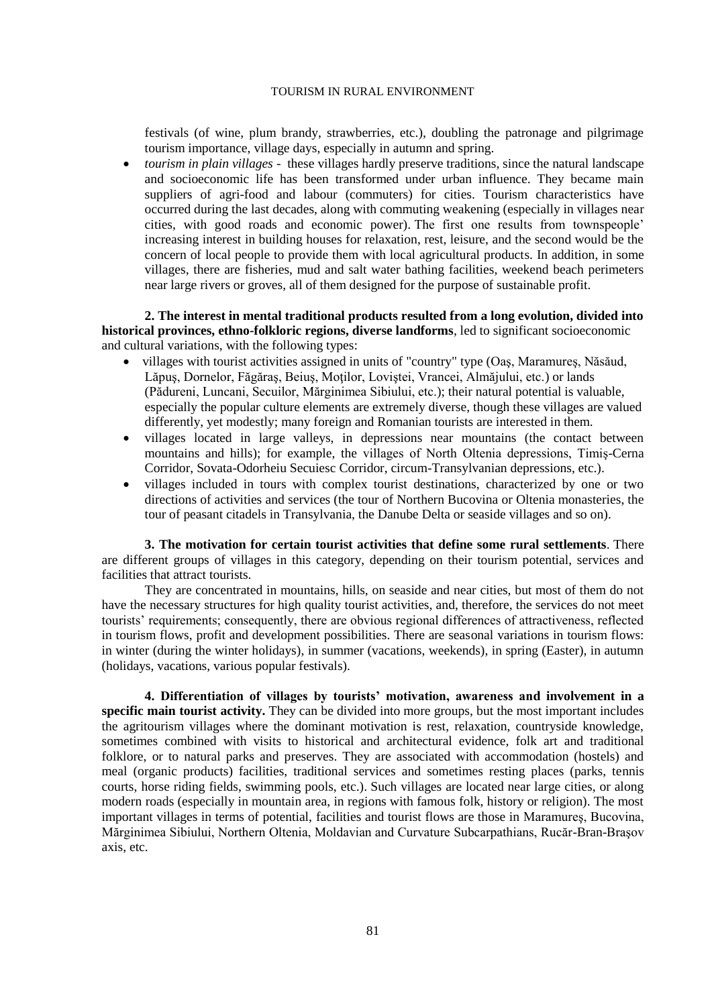#### TOURISM IN RURAL ENVIRONMENT

festivals (of wine, plum brandy, strawberries, etc.), doubling the patronage and pilgrimage tourism importance, village days, especially in autumn and spring.

 *tourism in plain villages -* these villages hardly preserve traditions, since the natural landscape and socioeconomic life has been transformed under urban influence. They became main suppliers of agri-food and labour (commuters) for cities. Tourism characteristics have occurred during the last decades, along with commuting weakening (especially in villages near cities, with good roads and economic power). The first one results from townspeople' increasing interest in building houses for relaxation, rest, leisure, and the second would be the concern of local people to provide them with local agricultural products. In addition, in some villages, there are fisheries, mud and salt water bathing facilities, weekend beach perimeters near large rivers or groves, all of them designed for the purpose of sustainable profit.

**2. The interest in mental traditional products resulted from a long evolution, divided into historical provinces, ethno-folkloric regions, diverse landforms**, led to significant socioeconomic and cultural variations, with the following types:

- villages with tourist activities assigned in units of "country" type (Oaş, Maramureş, Năsăud, Lăpus, Dornelor, Făgăraș, Beius, Motilor, Loviștei, Vrancei, Almăjului, etc.) or lands (Pădureni, Luncani, Secuilor, Mărginimea Sibiului, etc.); their natural potential is valuable, especially the popular culture elements are extremely diverse, though these villages are valued differently, yet modestly; many foreign and Romanian tourists are interested in them.
- villages located in large valleys, in depressions near mountains (the contact between mountains and hills); for example, the villages of North Oltenia depressions, Timiş-Cerna Corridor, Sovata-Odorheiu Secuiesc Corridor, circum-Transylvanian depressions, etc.).
- villages included in tours with complex tourist destinations, characterized by one or two directions of activities and services (the tour of Northern Bucovina or Oltenia monasteries, the tour of peasant citadels in Transylvania, the Danube Delta or seaside villages and so on).

**3. The motivation for certain tourist activities that define some rural settlements***.* There are different groups of villages in this category, depending on their tourism potential, services and facilities that attract tourists.

They are concentrated in mountains, hills, on seaside and near cities, but most of them do not have the necessary structures for high quality tourist activities, and, therefore, the services do not meet tourists' requirements; consequently, there are obvious regional differences of attractiveness, reflected in tourism flows, profit and development possibilities. There are seasonal variations in tourism flows: in winter (during the winter holidays), in summer (vacations, weekends), in spring (Easter), in autumn (holidays, vacations, various popular festivals).

**4. Differentiation of villages by tourists' motivation, awareness and involvement in a specific main tourist activity.** They can be divided into more groups, but the most important includes the agritourism villages where the dominant motivation is rest, relaxation, countryside knowledge, sometimes combined with visits to historical and architectural evidence, folk art and traditional folklore, or to natural parks and preserves. They are associated with accommodation (hostels) and meal (organic products) facilities, traditional services and sometimes resting places (parks, tennis courts, horse riding fields, swimming pools, etc.). Such villages are located near large cities, or along modern roads (especially in mountain area, in regions with famous folk, history or religion). The most important villages in terms of potential, facilities and tourist flows are those in Maramureş, Bucovina, Mărginimea Sibiului, Northern Oltenia, Moldavian and Curvature Subcarpathians, Rucăr-Bran-Braşov axis, etc.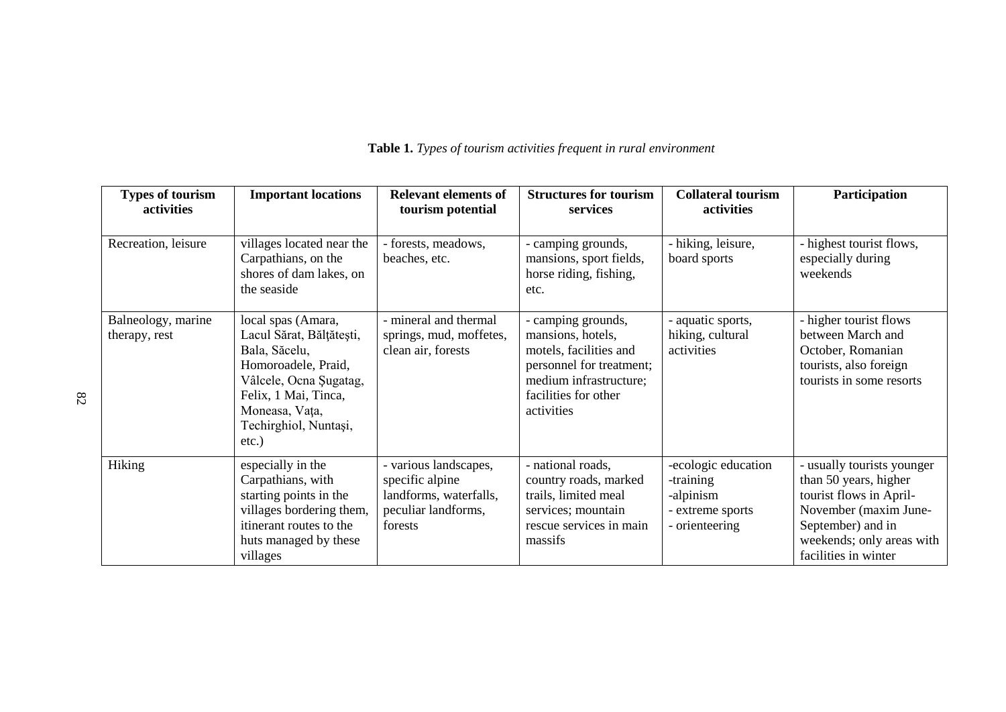| <b>Types of tourism</b><br>activities | <b>Important locations</b>                                                                                                                                                                      | <b>Relevant elements of</b><br>tourism potential                                                     | <b>Structures for tourism</b><br>services                                                                                                                     | <b>Collateral tourism</b><br>activities                                             | Participation                                                                                                                                                                     |
|---------------------------------------|-------------------------------------------------------------------------------------------------------------------------------------------------------------------------------------------------|------------------------------------------------------------------------------------------------------|---------------------------------------------------------------------------------------------------------------------------------------------------------------|-------------------------------------------------------------------------------------|-----------------------------------------------------------------------------------------------------------------------------------------------------------------------------------|
| Recreation, leisure                   | villages located near the<br>Carpathians, on the<br>shores of dam lakes, on<br>the seaside                                                                                                      | - forests, meadows,<br>beaches, etc.                                                                 | - camping grounds,<br>mansions, sport fields,<br>horse riding, fishing,<br>etc.                                                                               | - hiking, leisure,<br>board sports                                                  | - highest tourist flows,<br>especially during<br>weekends                                                                                                                         |
| Balneology, marine<br>therapy, rest   | local spas (Amara,<br>Lacul Sărat, Bălțătești,<br>Bala, Săcelu,<br>Homoroadele, Praid,<br>Vâlcele, Ocna Şugatag,<br>Felix, 1 Mai, Tinca,<br>Moneasa, Vața,<br>Techirghiol, Nuntași,<br>$etc.$ ) | - mineral and thermal<br>springs, mud, moffetes,<br>clean air, forests                               | - camping grounds,<br>mansions, hotels,<br>motels, facilities and<br>personnel for treatment;<br>medium infrastructure;<br>facilities for other<br>activities | - aquatic sports,<br>hiking, cultural<br>activities                                 | - higher tourist flows<br>between March and<br>October, Romanian<br>tourists, also foreign<br>tourists in some resorts                                                            |
| <b>Hiking</b>                         | especially in the<br>Carpathians, with<br>starting points in the<br>villages bordering them,<br>itinerant routes to the<br>huts managed by these<br>villages                                    | - various landscapes,<br>specific alpine<br>landforms, waterfalls,<br>peculiar landforms,<br>forests | - national roads,<br>country roads, marked<br>trails, limited meal<br>services; mountain<br>rescue services in main<br>massifs                                | -ecologic education<br>-training<br>-alpinism<br>- extreme sports<br>- orienteering | - usually tourists younger<br>than 50 years, higher<br>tourist flows in April-<br>November (maxim June-<br>September) and in<br>weekends; only areas with<br>facilities in winter |

# **Table 1.** *Types of tourism activities frequent in rural environment*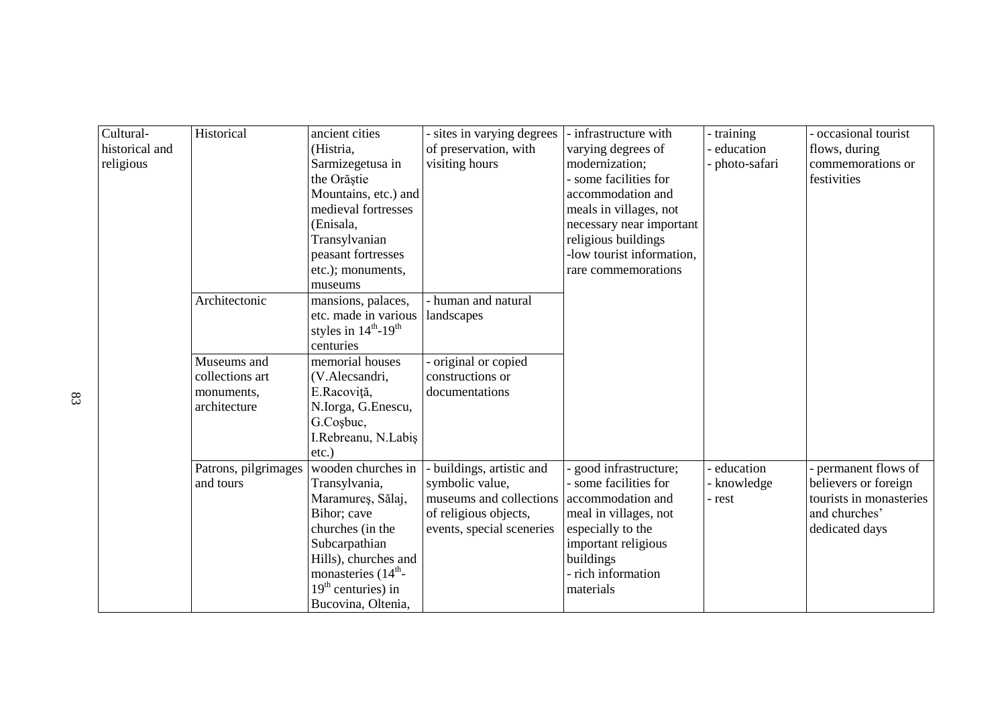| Cultural-      | Historical           | ancient cities                              | - sites in varying degrees | - infrastructure with    | - training   | - occasional tourist    |
|----------------|----------------------|---------------------------------------------|----------------------------|--------------------------|--------------|-------------------------|
| historical and |                      | (Histria,                                   | of preservation, with      | varying degrees of       | education    | flows, during           |
| religious      |                      | Sarmizegetusa in                            | visiting hours             | modernization;           | photo-safari | commemorations or       |
|                |                      | the Orăștie                                 |                            | some facilities for      |              | festivities             |
|                |                      | Mountains, etc.) and                        |                            | accommodation and        |              |                         |
|                |                      | medieval fortresses                         |                            | meals in villages, not   |              |                         |
|                |                      | (Enisala,                                   |                            | necessary near important |              |                         |
|                |                      | Transylvanian                               |                            | religious buildings      |              |                         |
|                |                      | peasant fortresses                          |                            | low tourist information, |              |                         |
|                |                      | etc.); monuments,                           |                            | rare commemorations      |              |                         |
|                |                      | museums                                     |                            |                          |              |                         |
|                | Architectonic        | mansions, palaces,                          | - human and natural        |                          |              |                         |
|                |                      | etc. made in various   landscapes           |                            |                          |              |                         |
|                |                      | styles in $14^{\text{th}} - 19^{\text{th}}$ |                            |                          |              |                         |
|                |                      | centuries                                   |                            |                          |              |                         |
|                | Museums and          | memorial houses                             | original or copied         |                          |              |                         |
|                | collections art      | (V.Alecsandri,                              | constructions or           |                          |              |                         |
|                | monuments,           | E.Racoviță,                                 | documentations             |                          |              |                         |
|                | architecture         | N.Iorga, G.Enescu,                          |                            |                          |              |                         |
|                |                      | G.Cosbuc,                                   |                            |                          |              |                         |
|                |                      | I.Rebreanu, N.Labiş                         |                            |                          |              |                         |
|                |                      | $etc.$ )                                    |                            |                          |              |                         |
|                | Patrons, pilgrimages | wooden churches in                          | - buildings, artistic and  | good infrastructure;     | - education  | - permanent flows of    |
|                | and tours            | Transylvania,                               | symbolic value,            | - some facilities for    | knowledge    | believers or foreign    |
|                |                      | Maramureș, Sălaj,                           | museums and collections    | accommodation and        | - rest       | tourists in monasteries |
|                |                      | Bihor; cave                                 | of religious objects,      | meal in villages, not    |              | and churches'           |
|                |                      | churches (in the                            | events, special sceneries  | especially to the        |              | dedicated days          |
|                |                      | Subcarpathian                               |                            | important religious      |              |                         |
|                |                      | Hills), churches and                        |                            | buildings                |              |                         |
|                |                      | monasteries (14 <sup>th</sup> -             |                            | - rich information       |              |                         |
|                |                      | $19th$ centuries) in                        |                            | materials                |              |                         |
|                |                      | Bucovina, Oltenia,                          |                            |                          |              |                         |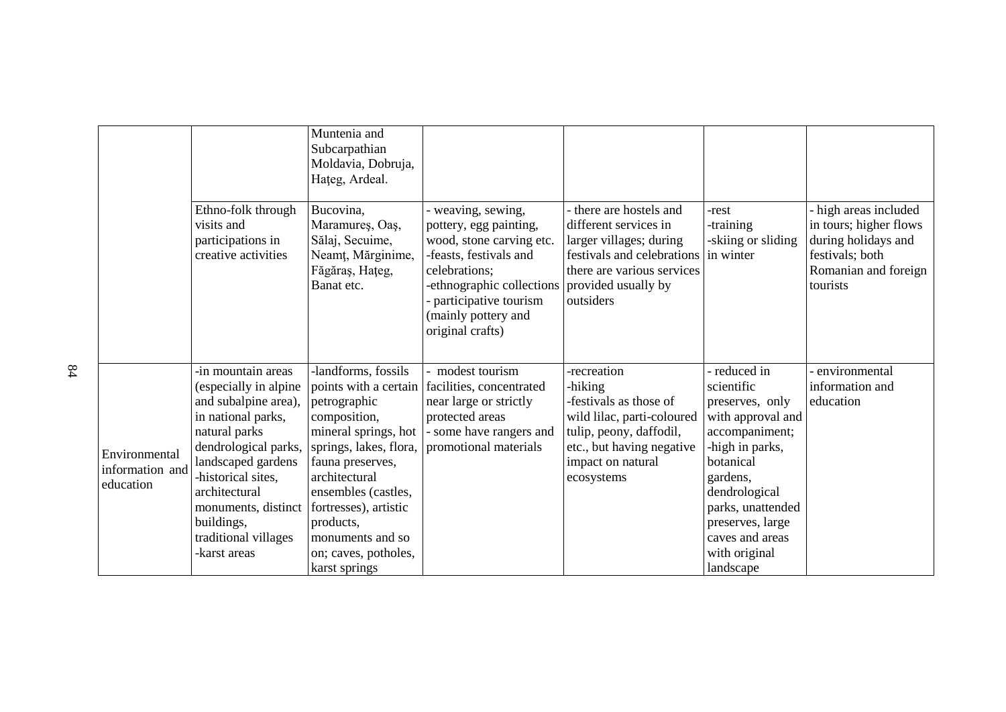|                                               |                                                                                                                                                                                                                                                                              | Muntenia and<br>Subcarpathian<br>Moldavia, Dobruja,<br>Hateg, Ardeal.                                                                                                                                                                                                |                                                                                                                                                                                                                                          |                                                                                                                                                                           |                                                                                                                                                                                                                                           |                                                                                                                             |
|-----------------------------------------------|------------------------------------------------------------------------------------------------------------------------------------------------------------------------------------------------------------------------------------------------------------------------------|----------------------------------------------------------------------------------------------------------------------------------------------------------------------------------------------------------------------------------------------------------------------|------------------------------------------------------------------------------------------------------------------------------------------------------------------------------------------------------------------------------------------|---------------------------------------------------------------------------------------------------------------------------------------------------------------------------|-------------------------------------------------------------------------------------------------------------------------------------------------------------------------------------------------------------------------------------------|-----------------------------------------------------------------------------------------------------------------------------|
|                                               | Ethno-folk through<br>visits and<br>participations in<br>creative activities                                                                                                                                                                                                 | Bucovina,<br>Maramureș, Oaș,<br>Sălaj, Secuime,<br>Neamț, Mărginime,<br>Făgăraș, Hațeg,<br>Banat etc.                                                                                                                                                                | - weaving, sewing,<br>pottery, egg painting,<br>wood, stone carving etc.<br>-feasts, festivals and<br>celebrations;<br>-ethnographic collections provided usually by<br>participative tourism<br>(mainly pottery and<br>original crafts) | there are hostels and<br>different services in<br>larger villages; during<br>festivals and celebrations in winter<br>there are various services<br>outsiders              | -rest<br>-training<br>-skiing or sliding                                                                                                                                                                                                  | high areas included<br>in tours; higher flows<br>during holidays and<br>festivals; both<br>Romanian and foreign<br>tourists |
| Environmental<br>information and<br>education | -in mountain areas<br>(especially in alpine<br>and subalpine area),<br>in national parks,<br>natural parks<br>dendrological parks,<br>landscaped gardens<br>-historical sites,<br>architectural<br>monuments, distinct<br>buildings,<br>traditional villages<br>-karst areas | -landforms, fossils<br>petrographic<br>composition,<br>mineral springs, hot<br>springs, lakes, flora,<br>fauna preserves,<br>architectural<br>ensembles (castles,<br>fortresses), artistic<br>products,<br>monuments and so<br>on; caves, potholes,<br>karst springs | - modest tourism<br>points with a certain facilities, concentrated<br>near large or strictly<br>protected areas<br>- some have rangers and<br>promotional materials                                                                      | -recreation<br>-hiking<br>-festivals as those of<br>wild lilac, parti-coloured<br>tulip, peony, daffodil,<br>etc., but having negative<br>impact on natural<br>ecosystems | reduced in<br>scientific<br>preserves, only<br>with approval and<br>accompaniment;<br>-high in parks,<br>botanical<br>gardens,<br>dendrological<br>parks, unattended<br>preserves, large<br>caves and areas<br>with original<br>landscape | environmental<br>information and<br>education                                                                               |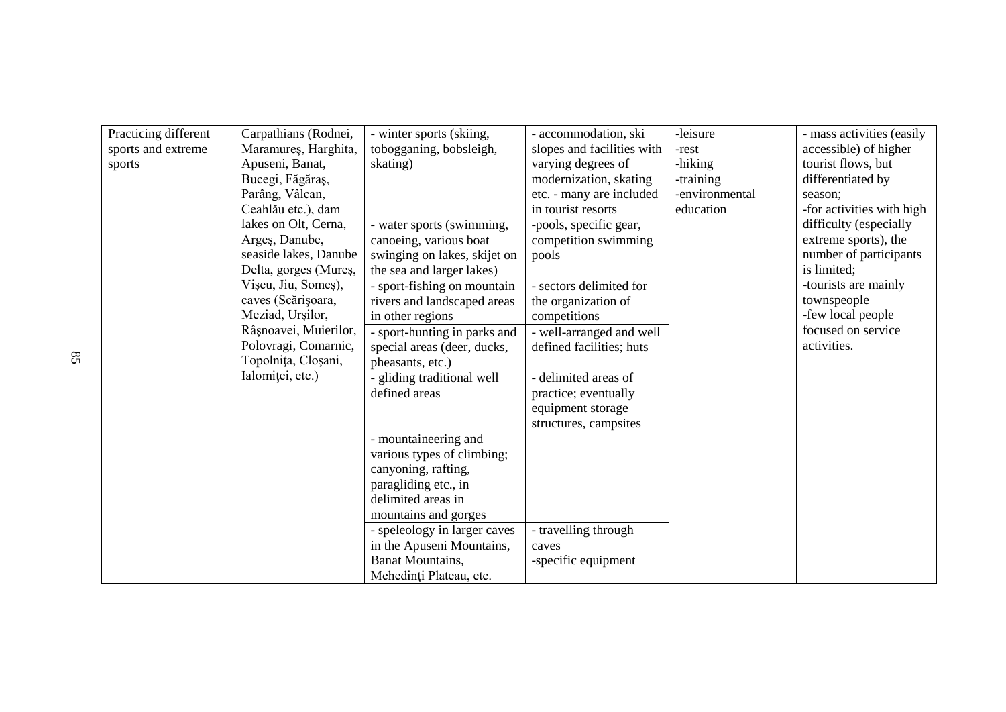| Practicing different | Carpathians (Rodnei,  | - winter sports (skiing,     | - accommodation, ski       | -leisure       | - mass activities (easily |
|----------------------|-----------------------|------------------------------|----------------------------|----------------|---------------------------|
| sports and extreme   | Maramures, Harghita,  | tobogganing, bobsleigh,      | slopes and facilities with | -rest          | accessible) of higher     |
| sports               | Apuseni, Banat,       | skating)                     | varying degrees of         | -hiking        | tourist flows, but        |
|                      | Bucegi, Făgăraș,      |                              | modernization, skating     | -training      | differentiated by         |
|                      |                       |                              |                            | -environmental |                           |
|                      | Parâng, Vâlcan,       |                              | etc. - many are included   |                | season;                   |
|                      | Ceahlău etc.), dam    |                              | in tourist resorts         | education      | -for activities with high |
|                      | lakes on Olt, Cerna,  | - water sports (swimming,    | -pools, specific gear,     |                | difficulty (especially    |
|                      | Arges, Danube,        | canoeing, various boat       | competition swimming       |                | extreme sports), the      |
|                      | seaside lakes, Danube | swinging on lakes, skijet on | pools                      |                | number of participants    |
|                      | Delta, gorges (Mureș, | the sea and larger lakes)    |                            |                | is limited;               |
|                      | Vișeu, Jiu, Someș),   | - sport-fishing on mountain  | - sectors delimited for    |                | -tourists are mainly      |
|                      | caves (Scărișoara,    | rivers and landscaped areas  | the organization of        |                | townspeople               |
|                      | Meziad, Urşilor,      | in other regions             | competitions               |                | -few local people         |
|                      | Râșnoavei, Muierilor, | - sport-hunting in parks and | - well-arranged and well   |                | focused on service        |
|                      | Polovragi, Comarnic,  | special areas (deer, ducks,  | defined facilities; huts   |                | activities.               |
|                      | Topolnița, Cloșani,   | pheasants, etc.)             |                            |                |                           |
|                      | Ialomitei, etc.)      | - gliding traditional well   | - delimited areas of       |                |                           |
|                      |                       | defined areas                | practice; eventually       |                |                           |
|                      |                       |                              | equipment storage          |                |                           |
|                      |                       |                              | structures, campsites      |                |                           |
|                      |                       | - mountaineering and         |                            |                |                           |
|                      |                       | various types of climbing;   |                            |                |                           |
|                      |                       | canyoning, rafting,          |                            |                |                           |
|                      |                       | paragliding etc., in         |                            |                |                           |
|                      |                       | delimited areas in           |                            |                |                           |
|                      |                       |                              |                            |                |                           |
|                      |                       | mountains and gorges         |                            |                |                           |
|                      |                       | - speleology in larger caves | - travelling through       |                |                           |
|                      |                       | in the Apuseni Mountains,    | caves                      |                |                           |
|                      |                       | <b>Banat Mountains,</b>      | -specific equipment        |                |                           |
|                      |                       | Mehedinți Plateau, etc.      |                            |                |                           |